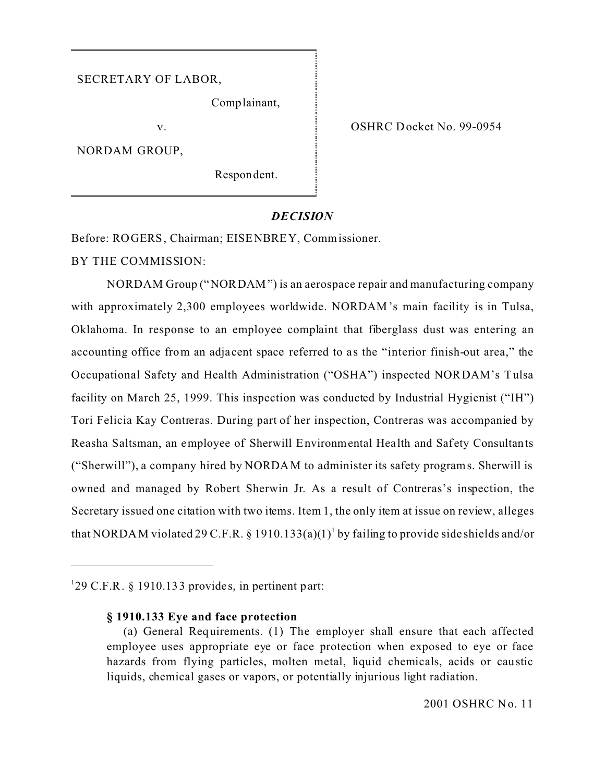#### SECRETARY OF LABOR,

Comp lainant,

v.

NORDAM GROUP,

Respon dent.

OSHRC Docket No. 99-0954

#### *DECISION*

Before: ROGERS, Chairman; EISENBREY, Commissioner.

BY THE COMMISSION:

NORDAM Group ("NORDAM") is an aerospace repair and manufacturing company with approximately 2,300 employees worldwide. NORDAM's main facility is in Tulsa, Oklahoma. In response to an employee complaint that fiberglass dust was entering an accounting office from an adja cent space referred to as the "interior finish-out area," the Occupational Safety and Health Administration ("OSHA") inspected NORDAM's Tulsa facility on March 25, 1999. This inspection was conducted by Industrial Hygienist ("IH") Tori Felicia Kay Contreras. During part of her inspection, Contreras was accompanied by Reasha Saltsman, an employee of Sherwill Environmental Health and Safety Consultants ("Sherwill"), a company hired by NORDAM to administer its safety programs. Sherwill is owned and managed by Robert Sherwin Jr. As a result of Contreras's inspection, the Secretary issued one citation with two items. Item 1, the only item at issue on review, alleges that NORDAM violated 29 C.F.R. § 1910.133(a)(1)<sup>1</sup> by failing to provide side shields and/or

<sup>1</sup> 29 C.F.R. § 1910.133 provides, in pertinent part:

**<sup>§ 1910.133</sup> Eye and face protection** 

<sup>(</sup>a) General Requirements. (1) The employer shall ensure that each affected employee uses appropriate eye or face protection when exposed to eye or face hazards from flying particles, molten metal, liquid chemicals, acids or caustic liquids, chemical gases or vapors, or potentially injurious light radiation.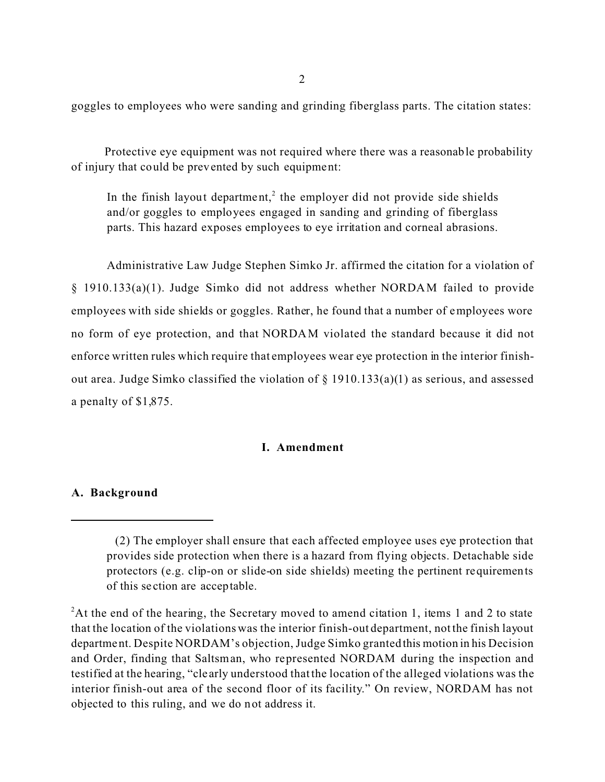goggles to employees who were sanding and grinding fiberglass parts. The citation states:

Protective eye equipment was not required where there was a reasonable probability of injury that could be prevented by such equipment:

In the finish layout department,<sup>2</sup> the employer did not provide side shields and/or goggles to employees engaged in sanding and grinding of fiberglass parts. This hazard exposes employees to eye irritation and corneal abrasions.

Administrative Law Judge Stephen Simko Jr. affirmed the citation for a violation of § 1910.133(a)(1). Judge Simko did not address whether NORDAM failed to provide employees with side shields or goggles. Rather, he found that a number of employees wore no form of eye protection, and that NORDAM violated the standard because it did not enforce written rules which require that employees wear eye protection in the interior finishout area. Judge Simko classified the violation of § 1910.133(a)(1) as serious, and assessed a penalty of \$1,875.

#### **I. Amendment**

#### **A. Background**

<sup>(2)</sup> The employer shall ensure that each affected employee uses eye protection that provides side protection when there is a hazard from flying objects. Detachable side protectors (e.g. clip-on or slide-on side shields) meeting the pertinent requirements of this se ction are acceptable.

<sup>&</sup>lt;sup>2</sup>At the end of the hearing, the Secretary moved to amend citation 1, items 1 and 2 to state that the location of the violations was the interior finish-out department, not the finish layout department. Despite NORDAM's objection, Judge Simko granted this motion in his Decision and Order, finding that Saltsman, who represented NORDAM during the inspection and testified at the hearing, "cle arly understood that the location of the alleged violations was the interior finish-out area of the second floor of its facility." On review, NORDAM has not objected to this ruling, and we do not address it.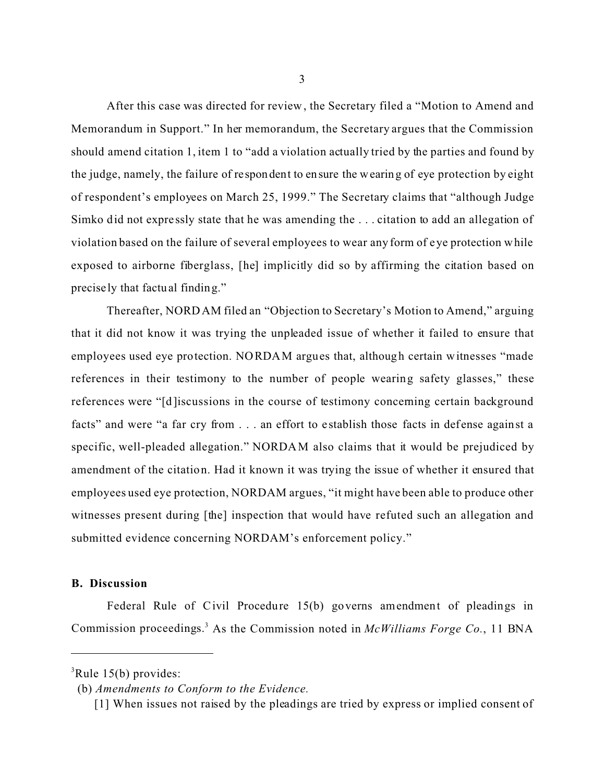After this case was directed for review , the Secretary filed a "Motion to Amend and Memorandum in Support." In her memorandum, the Secretary argues that the Commission should amend citation 1, item 1 to "add a violation actually tried by the parties and found by the judge, namely, the failure of respondent to ensure the wearing of eye protection by eight of respondent's employees on March 25, 1999." The Secretary claims that "although Judge Simko did not expre ssly state that he was amending the . . . citation to add an allegation of violation based on the failure of several employees to wear any form of eye protection while exposed to airborne fiberglass, [he] implicitly did so by affirming the citation based on precisely that factual finding."

Thereafter, NORD AM filed an "Objection to Secretary's Motion to Amend," arguing that it did not know it was trying the unpleaded issue of whether it failed to ensure that employees used eye protection. NORDAM argues that, although certain witnesses "made references in their testimony to the number of people wearing safety glasses," these references were "[d]iscussions in the course of testimony concerning certain background facts" and were "a far cry from . . . an effort to establish those facts in defense against a specific, well-pleaded allegation." NORDAM also claims that it would be prejudiced by amendment of the citation. Had it known it was trying the issue of whether it ensured that employees used eye protection, NORDAM argues, "it might have been able to produce other witnesses present during [the] inspection that would have refuted such an allegation and submitted evidence concerning NORDAM's enforcement policy."

#### **B. Discussion**

Federal Rule of Civil Procedure 15(b) governs amendment of pleadings in Commission proceedings. 3 As the Commission noted in *McWilliams Forge Co.*, 11 BNA

 ${}^{3}$ Rule 15(b) provides:

<sup>(</sup>b) *Amendments to Conform to the Evidence.* 

<sup>[1]</sup> When issues not raised by the pleadings are tried by express or implied consent of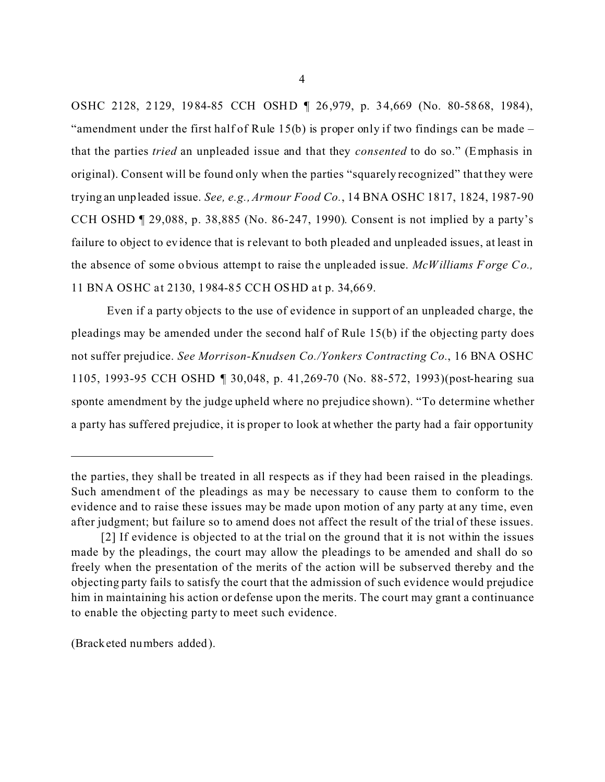OSHC 2128, 2129, 1984-85 CCH OSHD ¶ 26,979, p. 34,669 (No. 80-5868, 1984), "amendment under the first half of Rule 15(b) is proper only if two findings can be made – that the parties *tried* an unpleaded issue and that they *consented* to do so." (Emphasis in original). Consent will be found only when the parties "squarely recognized" that they were trying an unpleaded issue. *See, e.g., Armour Food Co.*, 14 BNA OSHC 1817, 1824, 1987-90 CCH OSHD ¶ 29,088, p. 38,885 (No. 86-247, 1990). Consent is not implied by a party's failure to object to evidence that is relevant to both pleaded and unpleaded issues, at least in the absence of some obvious attempt to raise the unple aded issue. *McWilliams Forge Co.,*  11 BNA OSHC at 2130, 1984-85 CCH OSHD at p. 34,669.

Even if a party objects to the use of evidence in support of an unpleaded charge, the pleadings may be amended under the second half of Rule 15(b) if the objecting party does not suffer prejudice. *See Morrison-Knudsen Co./Yonkers Contracting Co.*, 16 BNA OSHC 1105, 1993-95 CCH OSHD ¶ 30,048, p. 41,269-70 (No. 88-572, 1993)(post-hearing sua sponte amendment by the judge upheld where no prejudice shown). "To determine whether a party has suffered prejudice, it is proper to look at whether the party had a fair opportunity

(Bracketed numbers added).

the parties, they shall be treated in all respects as if they had been raised in the pleadings. Such amendment of the pleadings as may be necessary to cause them to conform to the evidence and to raise these issues may be made upon motion of any party at any time, even after judgment; but failure so to amend does not affect the result of the trial of these issues.

<sup>[2]</sup> If evidence is objected to at the trial on the ground that it is not within the issues made by the pleadings, the court may allow the pleadings to be amended and shall do so freely when the presentation of the merits of the action will be subserved thereby and the objecting party fails to satisfy the court that the admission of such evidence would prejudice him in maintaining his action or defense upon the merits. The court may grant a continuance to enable the objecting party to meet such evidence.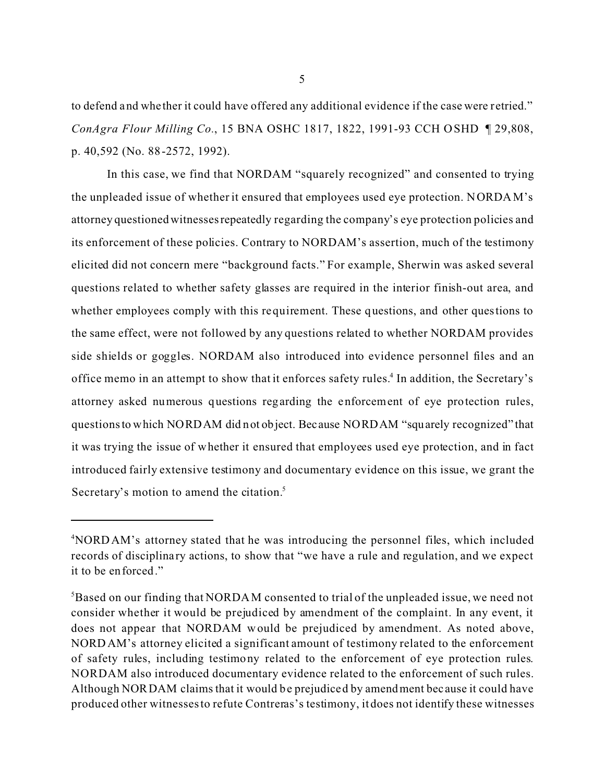to defend and whe ther it could have offered any additional evidence if the case were retried." *ConAgra Flour Milling Co.*, 15 BNA OSHC 1817, 1822, 1991-93 CCH O SHD ¶ 29,808, p. 40,592 (No. 88-2572, 1992).

In this case, we find that NORDAM "squarely recognized" and consented to trying the unpleaded issue of whether it ensured that employees used eye protection. N ORDA M's attorney questioned witnesses repeatedly regarding the company's eye protection policies and its enforcement of these policies. Contrary to NORDAM's assertion, much of the testimony elicited did not concern mere "background facts." For example, Sherwin was asked several questions related to whether safety glasses are required in the interior finish-out area, and whether employees comply with this requirement. These questions, and other questions to the same effect, were not followed by any questions related to whether NORDAM provides side shields or goggles. NORDAM also introduced into evidence personnel files and an office memo in an attempt to show that it enforces safety rules.<sup>4</sup> In addition, the Secretary's attorney asked numerous questions regarding the enforcement of eye protection rules, questions to which NORDAM did not object. Because NORDAM "squarely recognized" that it was trying the issue of whether it ensured that employees used eye protection, and in fact introduced fairly extensive testimony and documentary evidence on this issue, we grant the Secretary's motion to amend the citation.<sup>5</sup>

<sup>4</sup> NORD AM's attorney stated that he was introducing the personnel files, which included records of disciplina ry actions, to show that "we have a rule and regulation, and we expect it to be enforced."

<sup>&</sup>lt;sup>5</sup>Based on our finding that NORDAM consented to trial of the unpleaded issue, we need not consider whether it would be prejudiced by amendment of the complaint. In any event, it does not appear that NORDAM would be prejudiced by amendment. As noted above, NORD AM's attorney elicited a significant amount of testimony related to the enforcement of safety rules, including testimony related to the enforcement of eye protection rules. NORDAM also introduced documentary evidence related to the enforcement of such rules. Although NORDAM claims that it would be prejudiced by amendment bec ause it could have produced other witnesses to refute Contreras's testimony, it does not identify these witnesses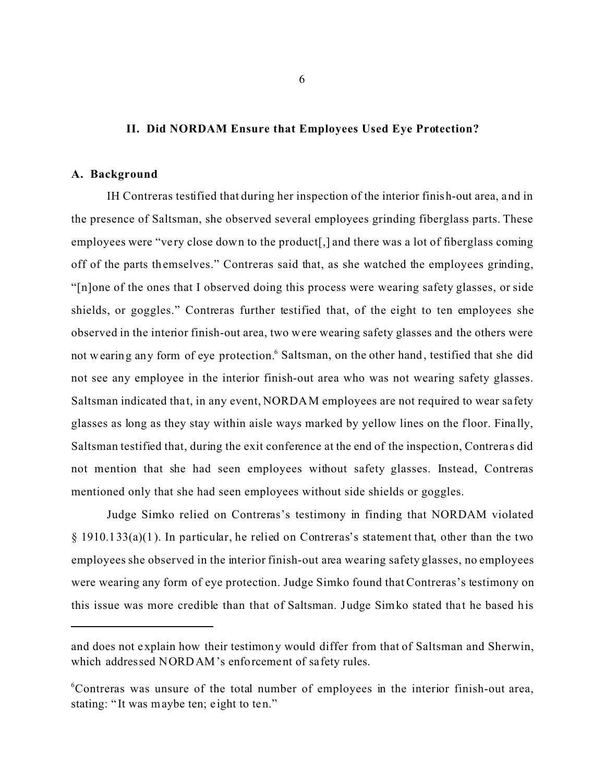#### **II. Did NORDAM Ensure that Employees Used Eye Protection?**

#### **A. Background**

IH Contreras testified that during her inspection of the interior finish-out area, and in the presence of Saltsman, she observed several employees grinding fiberglass parts. These employees were "very close down to the product.] and there was a lot of fiberglass coming off of the parts themselves." Contreras said that, as she watched the employees grinding, "[n]one of the ones that I observed doing this process were wearing safety glasses, or side shields, or goggles." Contreras further testified that, of the eight to ten employees she observed in the interior finish-out area, two were wearing safety glasses and the others were not wearing any form of eye protection. <sup>6</sup> Saltsman, on the other hand, testified that she did not see any employee in the interior finish-out area who was not wearing safety glasses. Saltsman indicated that, in any event, NORDAM employees are not required to wear safety glasses as long as they stay within aisle ways marked by yellow lines on the floor. Fina lly, Saltsman testified that, during the exit conference at the end of the inspection, Contrera s did not mention that she had seen employees without safety glasses. Instead, Contreras mentioned only that she had seen employees without side shields or goggles.

Judge Simko relied on Contreras's testimony in finding that NORDAM violated § 1910.133(a)(1). In particular, he relied on Contreras's statement that, other than the two employees she observed in the interior finish-out area wearing safety glasses, no employees were wearing any form of eye protection. Judge Simko found that Contreras's testimony on this issue was more credible than that of Saltsman. Judge Simko stated that he based his

and does not explain how their testimony would differ from that of Saltsman and Sherwin, which addressed NORDAM's enforcement of safety rules.

<sup>&</sup>lt;sup>6</sup>Contreras was unsure of the total number of employees in the interior finish-out area, stating: "It was maybe ten; eight to ten."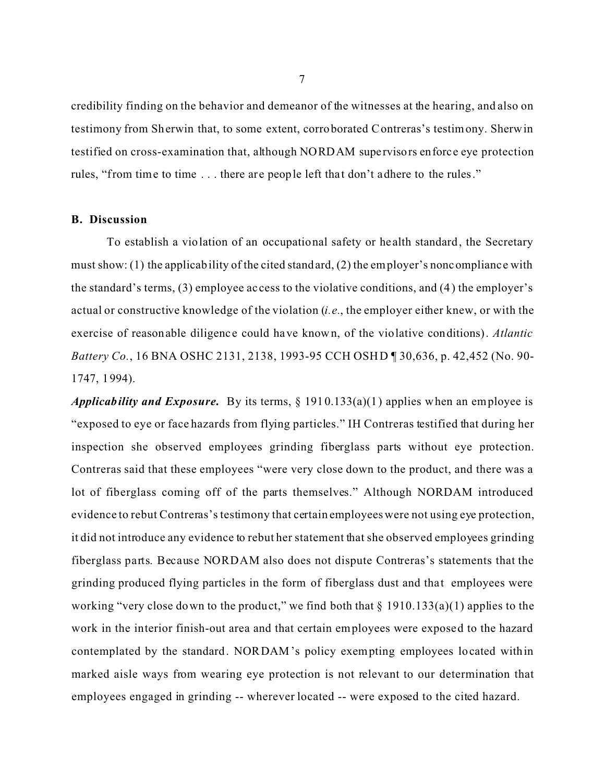credibility finding on the behavior and demeanor of the witnesses at the hearing, and also on testimony from Sherwin that, to some extent, corroborated Contreras's testimony. Sherwin testified on cross-examination that, although NORDAM supe rvisors enforce eye protection rules, "from time to time . . . there are people left that don't adhere to the rules."

#### **B. Discussion**

To establish a violation of an occupational safety or he alth standard, the Secretary must show: (1) the applicability of the cited standard, (2) the employer's noncomplianc e with the standard's terms, (3) employee ac cess to the violative conditions, and (4) the employer's actual or constructive knowledge of the violation (*i.e.*, the employer either knew, or with the exercise of reasonable diligence could have known, of the violative conditions). *Atlantic Battery Co.*, 16 BNA OSHC 2131, 2138, 1993-95 CCH OSHD ¶ 30,636, p. 42,452 (No. 90- 1747, 1994).

*Applicability and Exposure.* By its terms, § 1910.133(a)(1) applies when an employee is "exposed to eye or face hazards from flying particles." IH Contreras testified that during her inspection she observed employees grinding fiberglass parts without eye protection. Contreras said that these employees "were very close down to the product, and there was a lot of fiberglass coming off of the parts themselves." Although NORDAM introduced evidence to rebut Contreras's testimony that certain employees were not using eye protection, it did not introduce any evidence to rebut her statement that she observed employees grinding fiberglass parts. Because NORDAM also does not dispute Contreras's statements that the grinding produced flying particles in the form of fiberglass dust and that employees were working "very close down to the product," we find both that  $\S$  1910.133(a)(1) applies to the work in the interior finish-out area and that certain employees were exposed to the hazard contemplated by the standard. NORDAM's policy exempting employees located within marked aisle ways from wearing eye protection is not relevant to our determination that employees engaged in grinding -- wherever located -- were exposed to the cited hazard.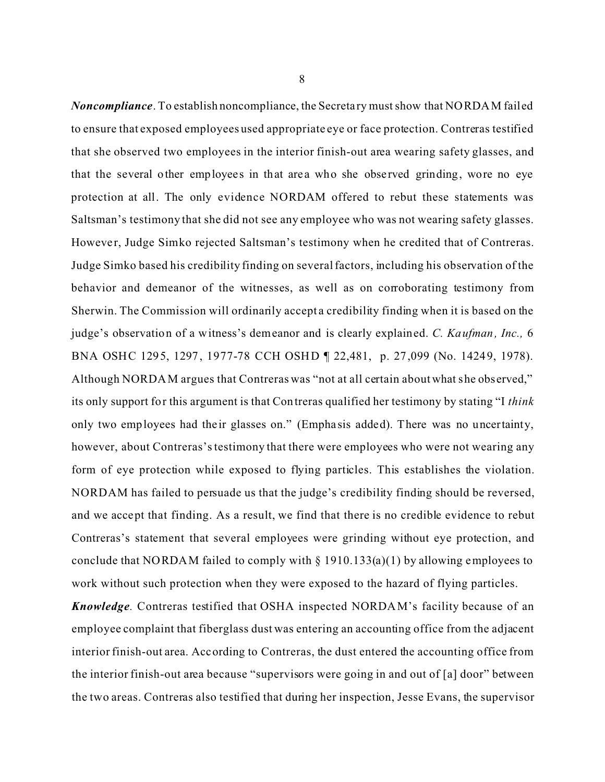*Noncompliance*. To establish noncompliance, the Secreta ry must show that NORDAM failed to ensure that exposed employees used appropriate eye or face protection. Contreras testified that she observed two employees in the interior finish-out area wearing safety glasses, and that the several other employees in that area who she observed grinding, wore no eye protection at all. The only evidence NORDAM offered to rebut these statements was Saltsman's testimony that she did not see any employee who was not wearing safety glasses. However, Judge Simko rejected Saltsman's testimony when he credited that of Contreras. Judge Simko based his credibility finding on several factors, including his observation of the behavior and demeanor of the witnesses, as well as on corroborating testimony from Sherwin. The Commission will ordinarily accept a credibility finding when it is based on the judge's observation of a witness's demeanor and is clearly explained. *C. Kaufman, Inc.,* 6 BNA OSHC 1295, 1297, 1977-78 CCH OSHD ¶ 22,481, p. 27,099 (No. 14249, 1978). Although NORDAM argues that Contreras was "not at all certain about what she observed," its only support for this argument is that Contreras qualified her testimony by stating "I *think*  only two employees had their glasses on." (Emphasis added). There was no uncertainty, however, about Contreras's testimony that there were employees who were not wearing any form of eye protection while exposed to flying particles. This establishes the violation. NORDAM has failed to persuade us that the judge's credibility finding should be reversed, and we accept that finding. As a result, we find that there is no credible evidence to rebut Contreras's statement that several employees were grinding without eye protection, and conclude that NORDAM failed to comply with  $\S$  1910.133(a)(1) by allowing employees to work without such protection when they were exposed to the hazard of flying particles.

*Knowledge*. Contreras testified that OSHA inspected NORDAM's facility because of an employee complaint that fiberglass dust was entering an accounting office from the adjacent interior finish-out area. According to Contreras, the dust entered the accounting office from the interior finish-out area because "supervisors were going in and out of [a] door" between the two areas. Contreras also testified that during her inspection, Jesse Evans, the supervisor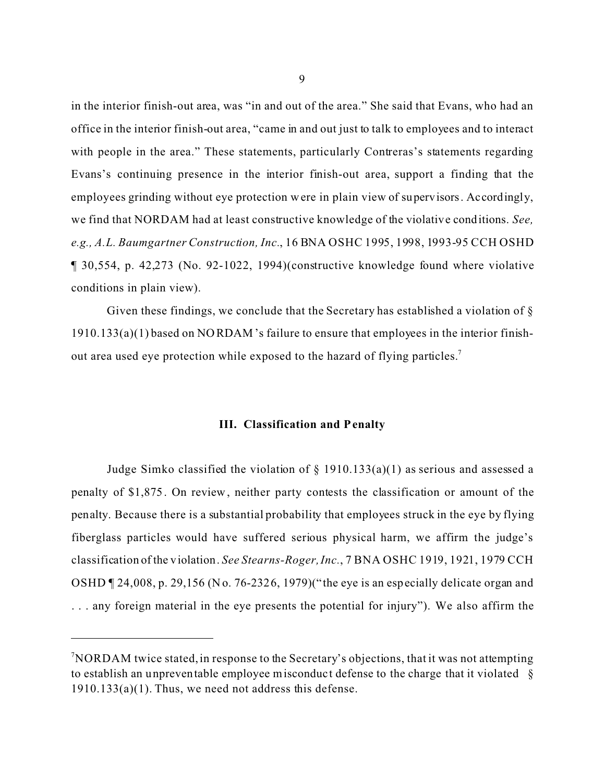in the interior finish-out area, was "in and out of the area." She said that Evans, who had an office in the interior finish-out area, "came in and out just to talk to employees and to interact with people in the area." These statements, particularly Contreras's statements regarding Evans's continuing presence in the interior finish-out area, support a finding that the employees grinding without eye protection were in plain view of supervisors. Accordingly, we find that NORDAM had at least constructive knowledge of the violative conditions. *See, e.g., A.L. Baumgartner Construction, Inc.*, 16 BNA OSHC 1995, 1998, 1993-95 CCH OSHD ¶ 30,554, p. 42,273 (No. 92-1022, 1994)(constructive knowledge found where violative conditions in plain view).

Given these findings, we conclude that the Secretary has established a violation of  $\S$ 1910.133(a)(1) based on NO RDAM 's failure to ensure that employees in the interior finishout area used eye protection while exposed to the hazard of flying particles.7

#### **III. Classification and Penalty**

Judge Simko classified the violation of  $\S$  1910.133(a)(1) as serious and assessed a penalty of \$1,875. On review, neither party contests the classification or amount of the penalty. Because there is a substantial probability that employees struck in the eye by flying fiberglass particles would have suffered serious physical harm, we affirm the judge's classification of the violation. *See Stearns-Roger, Inc.*, 7 BNA OSHC 1919, 1921, 1979 CCH OSHD ¶ 24,008, p. 29,156 (No. 76-2326, 1979)("the eye is an especially delicate organ and . . . any foreign material in the eye presents the potential for injury"). We also affirm the

 $\sqrt[7]{\text{NORDAM}}$  twice stated, in response to the Secretary's objections, that it was not attempting to establish an unpreventable employee misconduct defense to the charge that it violated §  $1910.133(a)(1)$ . Thus, we need not address this defense.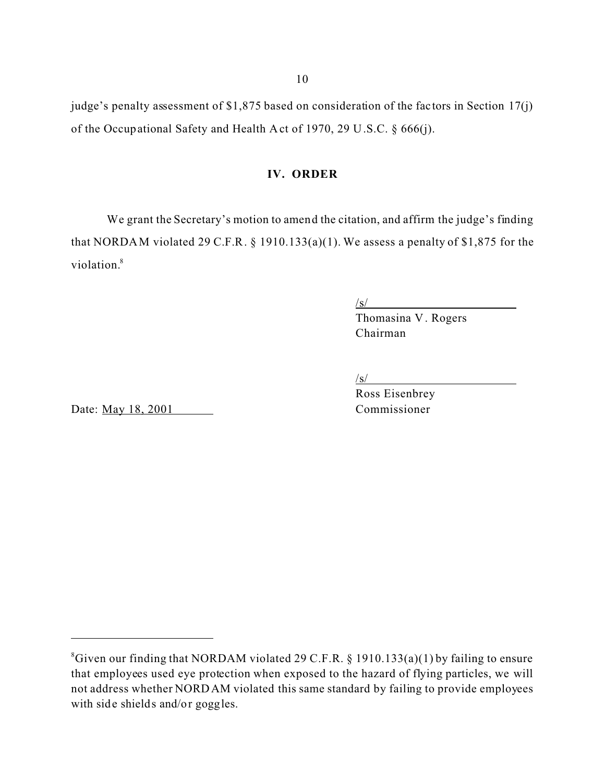judge's penalty assessment of \$1,875 based on consideration of the factors in Section 17(j) of the Occupational Safety and Health Act of 1970, 29 U.S.C. § 666(j).

#### **IV. ORDER**

We grant the Secretary's motion to amend the citation, and affirm the judge's finding that NORDAM violated 29 C.F.R.  $\S$  1910.133(a)(1). We assess a penalty of \$1,875 for the violation.<sup>8</sup>

/s/ Thomasina V . Rogers Chairman

/s/

Ross Eisenbrey

Date: <u>May 18, 2001</u> Commissioner

 ${}^8$ Given our finding that NORDAM violated 29 C.F.R. § 1910.133(a)(1) by failing to ensure that employees used eye protection when exposed to the hazard of flying particles, we will not address whether NORD AM violated this same standard by failing to provide employees with side shields and/or goggles.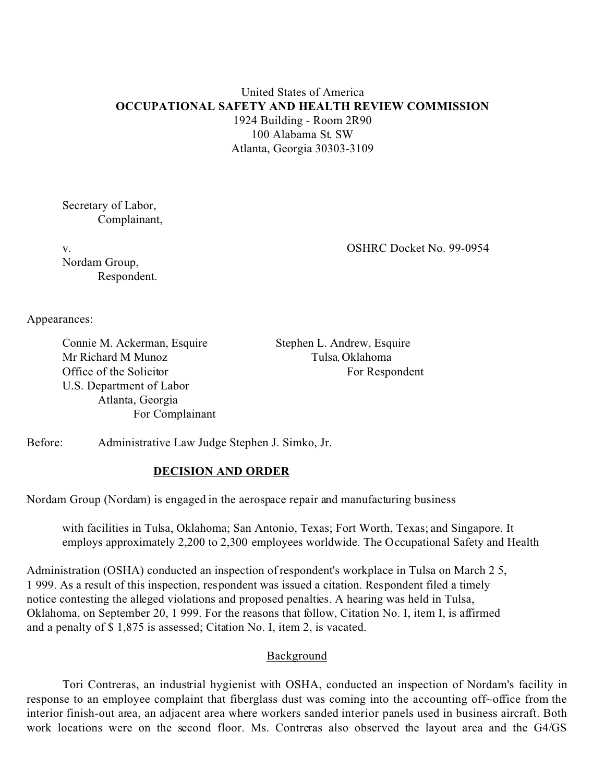## United States of America **OCCUPATIONAL SAFETY AND HEALTH REVIEW COMMISSION**  1924 Building - Room 2R90 100 Alabama St. SW Atlanta, Georgia 30303-3109

Secretary of Labor, Complainant,

v.

Nordam Group, Respondent. OSHRC Docket No. 99-0954

Appearances:

Connie M. Ackerman, Esquire Mr Richard M Munoz Office of the Solicitor U.S. Department of Labor Atlanta, Georgia For Complainant

Stephen L. Andrew, Esquire Tulsa, Oklahoma For Respondent

Before: Administrative Law Judge Stephen J. Simko, Jr.

#### **DECISION AND ORDER**

Nordam Group (Nordam) is engaged in the aerospace repair and manufacturing business

with facilities in Tulsa, Oklahoma; San Antonio, Texas; Fort Worth, Texas; and Singapore. It employs approximately 2,200 to 2,300 employees worldwide. The Occupational Safety and Health

Administration (OSHA) conducted an inspection of respondent's workplace in Tulsa on March 2 5, 1 999. As a result of this inspection, respondent was issued a citation. Respondent filed a timely notice contesting the alleged violations and proposed penalties. A hearing was held in Tulsa, Oklahoma, on September 20, 1 999. For the reasons that follow, Citation No. I, item I, is affirmed and a penalty of \$ 1,875 is assessed; Citation No. I, item 2, is vacated.

#### Background

Tori Contreras, an industrial hygienist with OSHA, conducted an inspection of Nordam's facility in response to an employee complaint that fiberglass dust was coming into the accounting off~office from the interior finish-out area, an adjacent area where workers sanded interior panels used in business aircraft. Both work locations were on the second floor. Ms. Contreras also observed the layout area and the G4/GS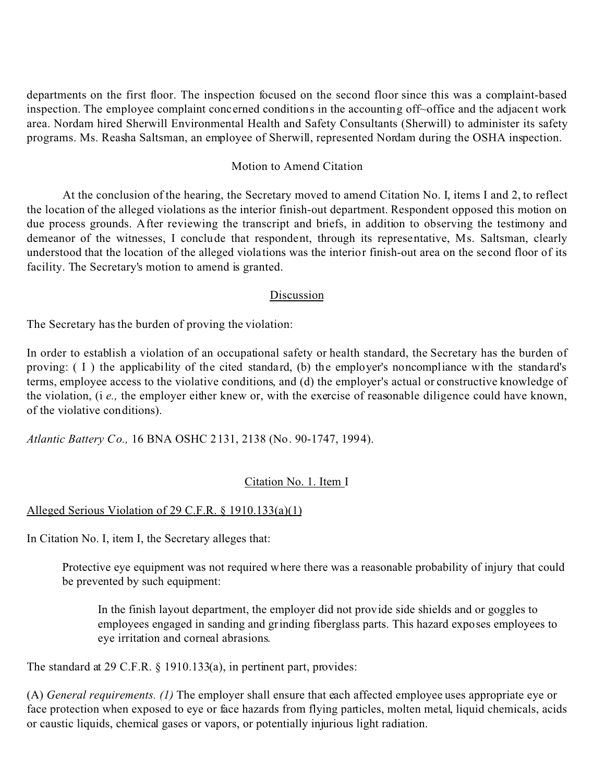departments on the first floor. The inspection focused on the second floor since this was a complaint-based inspection. The employee complaint concerned conditions in the accounting off~office and the adjacent work area. Nordam hired Sherwill Environmental Health and Safety Consultants (Sherwill) to administer its safety programs. Ms. Reasha Saltsman, an employee of Sherwill, represented Nordam during the OSHA inspection.

#### Motion to Amend Citation

At the conclusion of the hearing, the Secretary moved to amend Citation No. I, items I and 2, to reflect the location of the alleged violations as the interior finish-out department. Respondent opposed this motion on due process grounds. After reviewing the transcript and briefs, in addition to observing the testimony and demeanor of the witnesses, I conclude that respondent, through its representative, Ms. Saltsman, clearly understood that the location of the alleged violations was the interior finish-out area on the second floor of its facility. The Secretary's motion to amend is granted.

## Discussion

The Secretary has the burden of proving the violation:

In order to establish a violation of an occupational safety or health standard, the Secretary has the burden of proving: ( I ) the applicability of the cited standard, (b) the employer's noncompliance with the standard's terms, employee access to the violative conditions, and (d) the employer's actual or constructive knowledge of the violation, (i *e.,* the employer either knew or, with the exercise of reasonable diligence could have known, of the violative conditions).

*Atlantic Battery Co.,* 16 BNA OSHC 2131, 2138 (No. 90-1747, 1994).

## Citation No. 1. Item I

## Alleged Serious Violation of 29 C.F.R. § 1910.133(a)(1)

In Citation No. I, item I, the Secretary alleges that:

Protective eye equipment was not required where there was a reasonable probability of injury that could be prevented by such equipment:

In the finish layout department, the employer did not provide side shields and or goggles to employees engaged in sanding and grinding fiberglass parts. This hazard exposes employees to eye irritation and corneal abrasions.

The standard at 29 C.F.R. § 1910.133(a), in pertinent part, provides:

(A) *General requirements. (1)* The employer shall ensure that each affected employee uses appropriate eye or face protection when exposed to eye or face hazards from flying particles, molten metal, liquid chemicals, acids or caustic liquids, chemical gases or vapors, or potentially injurious light radiation.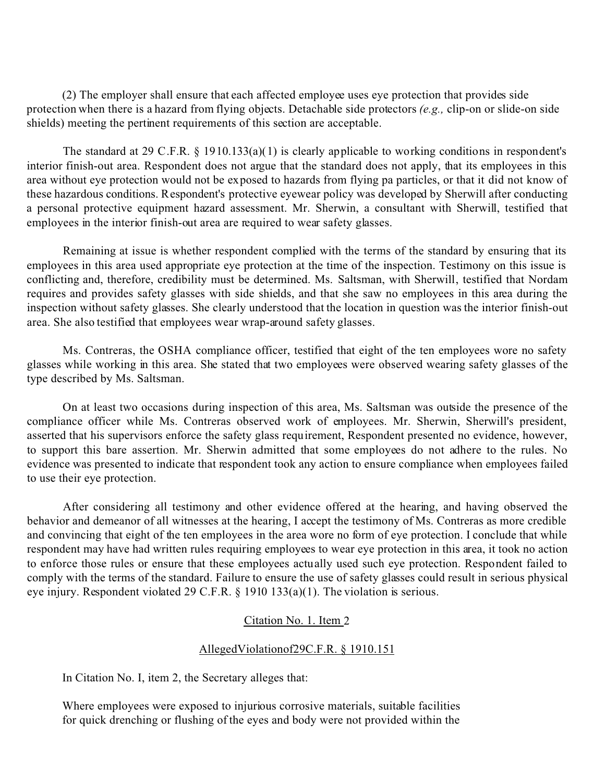(2) The employer shall ensure that each affected employee uses eye protection that provides side protection when there is a hazard from flying objects. Detachable side protectors *(e.g.,* clip-on or slide-on side shields) meeting the pertinent requirements of this section are acceptable.

The standard at 29 C.F.R. § 1910.133(a)(1) is clearly applicable to working conditions in respondent's interior finish-out area. Respondent does not argue that the standard does not apply, that its employees in this area without eye protection would not be exposed to hazards from flying pa particles, or that it did not know of these hazardous conditions. Respondent's protective eyewear policy was developed by Sherwill after conducting a personal protective equipment hazard assessment. Mr. Sherwin, a consultant with Sherwill, testified that employees in the interior finish-out area are required to wear safety glasses.

Remaining at issue is whether respondent complied with the terms of the standard by ensuring that its employees in this area used appropriate eye protection at the time of the inspection. Testimony on this issue is conflicting and, therefore, credibility must be determined. Ms. Saltsman, with Sherwill, testified that Nordam requires and provides safety glasses with side shields, and that she saw no employees in this area during the inspection without safety glasses. She clearly understood that the location in question was the interior finish-out area. She also testified that employees wear wrap-around safety glasses.

Ms. Contreras, the OSHA compliance officer, testified that eight of the ten employees wore no safety glasses while working in this area. She stated that two employees were observed wearing safety glasses of the type described by Ms. Saltsman.

On at least two occasions during inspection of this area, Ms. Saltsman was outside the presence of the compliance officer while Ms. Contreras observed work of employees. Mr. Sherwin, Sherwill's president, asserted that his supervisors enforce the safety glass requirement, Respondent presented no evidence, however, to support this bare assertion. Mr. Sherwin admitted that some employees do not adhere to the rules. No evidence was presented to indicate that respondent took any action to ensure compliance when employees failed to use their eye protection.

After considering all testimony and other evidence offered at the hearing, and having observed the behavior and demeanor of all witnesses at the hearing, I accept the testimony of Ms. Contreras as more credible and convincing that eight of the ten employees in the area wore no form of eye protection. I conclude that while respondent may have had written rules requiring employees to wear eye protection in this area, it took no action to enforce those rules or ensure that these employees actually used such eye protection. Respondent failed to comply with the terms of the standard. Failure to ensure the use of safety glasses could result in serious physical eye injury. Respondent violated 29 C.F.R. § 1910 133(a)(1). The violation is serious.

#### Citation No. 1. Item 2

#### AllegedViolationof29C.F.R. § 1910.151

In Citation No. I, item 2, the Secretary alleges that:

Where employees were exposed to injurious corrosive materials, suitable facilities for quick drenching or flushing of the eyes and body were not provided within the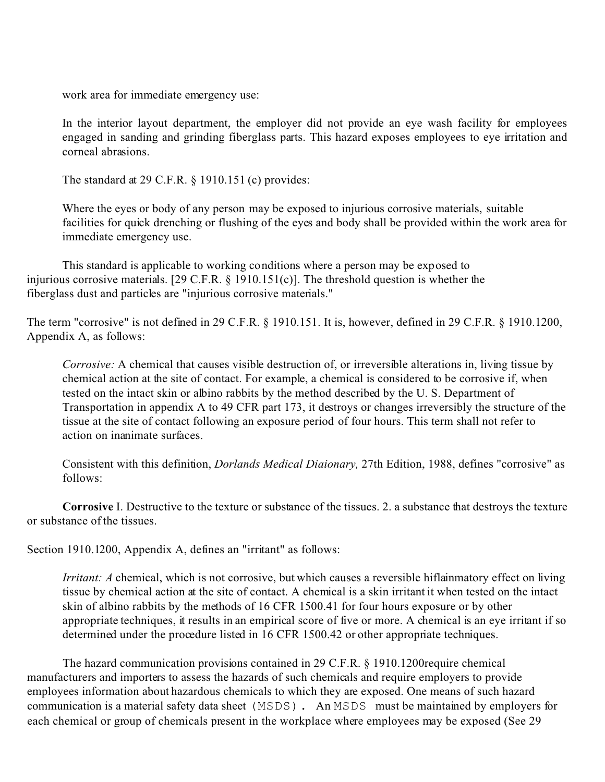work area for immediate emergency use:

In the interior layout department, the employer did not provide an eye wash facility for employees engaged in sanding and grinding fiberglass parts. This hazard exposes employees to eye irritation and corneal abrasions.

The standard at 29 C.F.R. § 1910.151 (c) provides:

Where the eyes or body of any person may be exposed to injurious corrosive materials, suitable facilities for quick drenching or flushing of the eyes and body shall be provided within the work area for immediate emergency use.

This standard is applicable to working conditions where a person may be exposed to injurious corrosive materials. [29 C.F.R.  $\S$  1910.151(c)]. The threshold question is whether the fiberglass dust and particles are "injurious corrosive materials."

The term "corrosive" is not defined in 29 C.F.R. § 1910.151. It is, however, defined in 29 C.F.R. § 1910.1200, Appendix A, as follows:

*Corrosive:* A chemical that causes visible destruction of, or irreversible alterations in, living tissue by chemical action at the site of contact. For example, a chemical is considered to be corrosive if, when tested on the intact skin or albino rabbits by the method described by the U. S. Department of Transportation in appendix A to 49 CFR part 173, it destroys or changes irreversibly the structure of the tissue at the site of contact following an exposure period of four hours. This term shall not refer to action on inanimate surfaces.

Consistent with this definition, *Dorlands Medical Diaionary,* 27th Edition, 1988, defines "corrosive" as follows:

**Corrosive** I. Destructive to the texture or substance of the tissues. 2. a substance that destroys the texture or substance of the tissues.

Section 1910.1200, Appendix A, defines an "irritant" as follows:

*Irritant: A* chemical, which is not corrosive, but which causes a reversible hiflainmatory effect on living tissue by chemical action at the site of contact. A chemical is a skin irritant it when tested on the intact skin of albino rabbits by the methods of 16 CFR 1500.41 for four hours exposure or by other appropriate techniques, it results in an empirical score of five or more. A chemical is an eye irritant if so determined under the procedure listed in 16 CFR 1500.42 or other appropriate techniques.

The hazard communication provisions contained in 29 C.F.R. § 1910.1200require chemical manufacturers and importers to assess the hazards of such chemicals and require employers to provide employees information about hazardous chemicals to which they are exposed. One means of such hazard communication is a material safety data sheet (MSDS). An MSDS must be maintained by employers for each chemical or group of chemicals present in the workplace where employees may be exposed (See 29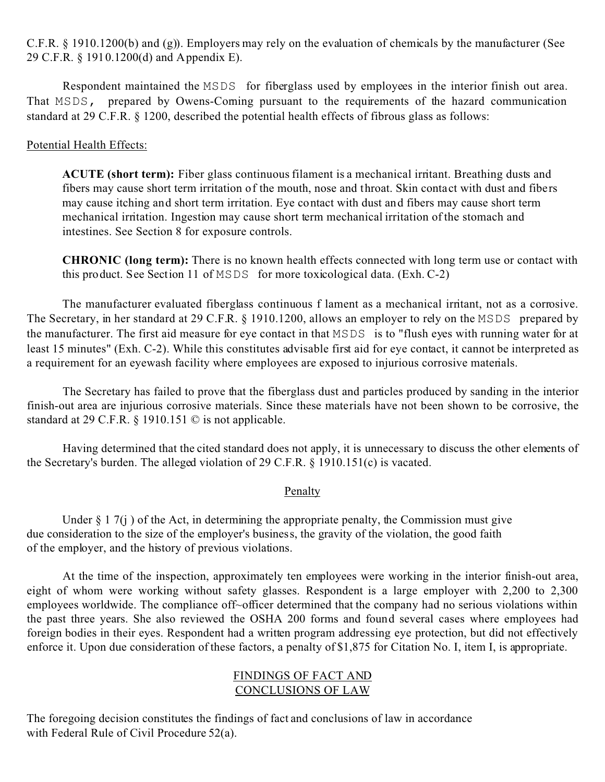C.F.R. § 1910.1200(b) and (g)). Employers may rely on the evaluation of chemicals by the manufacturer (See 29 C.F.R. § 1910.1200(d) and Appendix E).

Respondent maintained the MSDS for fiberglass used by employees in the interior finish out area. That MSDS, prepared by Owens-Coming pursuant to the requirements of the hazard communication standard at 29 C.F.R. § 1200, described the potential health effects of fibrous glass as follows:

## Potential Health Effects:

**ACUTE (short term):** Fiber glass continuous filament is a mechanical irritant. Breathing dusts and fibers may cause short term irritation of the mouth, nose and throat. Skin contact with dust and fibers may cause itching and short term irritation. Eye contact with dust and fibers may cause short term mechanical irritation. Ingestion may cause short term mechanical irritation of the stomach and intestines. See Section 8 for exposure controls.

**CHRONIC (long term):** There is no known health effects connected with long term use or contact with this product. See Section 11 of MSDS for more toxicological data. (Exh. C-2)

The manufacturer evaluated fiberglass continuous f lament as a mechanical irritant, not as a corrosive. The Secretary, in her standard at 29 C.F.R. § 1910.1200, allows an employer to rely on the MSDS prepared by the manufacturer. The first aid measure for eye contact in that MSDS is to "flush eyes with running water for at least 15 minutes" (Exh. C-2). While this constitutes advisable first aid for eye contact, it cannot be interpreted as a requirement for an eyewash facility where employees are exposed to injurious corrosive materials.

The Secretary has failed to prove that the fiberglass dust and particles produced by sanding in the interior finish-out area are injurious corrosive materials. Since these materials have not been shown to be corrosive, the standard at 29 C.F.R. § 1910.151 © is not applicable.

Having determined that the cited standard does not apply, it is unnecessary to discuss the other elements of the Secretary's burden. The alleged violation of 29 C.F.R. § 1910.151(c) is vacated.

#### Penalty

Under  $\S 17(i)$  of the Act, in determining the appropriate penalty, the Commission must give due consideration to the size of the employer's business, the gravity of the violation, the good faith of the employer, and the history of previous violations.

At the time of the inspection, approximately ten employees were working in the interior finish-out area, eight of whom were working without safety glasses. Respondent is a large employer with 2,200 to 2,300 employees worldwide. The compliance off~officer determined that the company had no serious violations within the past three years. She also reviewed the OSHA 200 forms and found several cases where employees had foreign bodies in their eyes. Respondent had a written program addressing eye protection, but did not effectively enforce it. Upon due consideration of these factors, a penalty of \$1,875 for Citation No. I, item I, is appropriate.

## FINDINGS OF FACT AND CONCLUSIONS OF LAW

The foregoing decision constitutes the findings of fact and conclusions of law in accordance with Federal Rule of Civil Procedure 52(a).